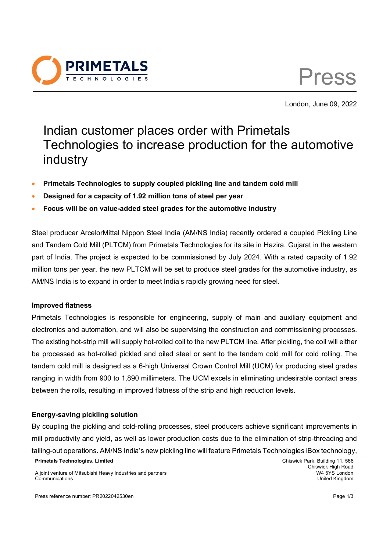



London, June 09, 2022

# Indian customer places order with Primetals Technologies to increase production for the automotive industry

- **Primetals Technologies to supply coupled pickling line and tandem cold mill**
- **Designed for a capacity of 1.92 million tons of steel per year**
- **Focus will be on value-added steel grades for the automotive industry**

Steel producer ArcelorMittal Nippon Steel India (AM/NS India) recently ordered a coupled Pickling Line and Tandem Cold Mill (PLTCM) from Primetals Technologies for its site in Hazira, Gujarat in the western part of India. The project is expected to be commissioned by July 2024. With a rated capacity of 1.92 million tons per year, the new PLTCM will be set to produce steel grades for the automotive industry, as AM/NS India is to expand in order to meet India's rapidly growing need for steel.

#### **Improved flatness**

Primetals Technologies is responsible for engineering, supply of main and auxiliary equipment and electronics and automation, and will also be supervising the construction and commissioning processes. The existing hot-strip mill will supply hot-rolled coil to the new PLTCM line. After pickling, the coil will either be processed as hot-rolled pickled and oiled steel or sent to the tandem cold mill for cold rolling. The tandem cold mill is designed as a 6-high Universal Crown Control Mill (UCM) for producing steel grades ranging in width from 900 to 1,890 millimeters. The UCM excels in eliminating undesirable contact areas between the rolls, resulting in improved flatness of the strip and high reduction levels.

### **Energy-saving pickling solution**

By coupling the pickling and cold-rolling processes, steel producers achieve significant improvements in mill productivity and yield, as well as lower production costs due to the elimination of strip-threading and tailing-out operations. AM/NS India's new pickling line will feature Primetals Technologies iBox technology,

**Primetals Technologies, Limited** Chiswick Park, Building 11, 566

Chiswick High Road<br>W4 5YS London

A joint venture of Mitsubishi Heavy Industries and partners Communications United Kingdom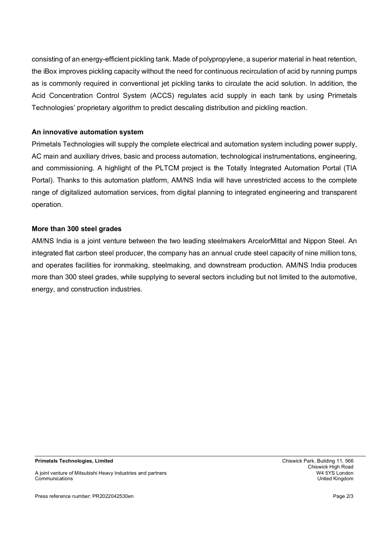consisting of an energy-efficient pickling tank. Made of polypropylene, a superior material in heat retention, the iBox improves pickling capacity without the need for continuous recirculation of acid by running pumps as is commonly required in conventional jet pickling tanks to circulate the acid solution. In addition, the Acid Concentration Control System (ACCS) regulates acid supply in each tank by using Primetals Technologies' proprietary algorithm to predict descaling distribution and pickling reaction.

### **An innovative automation system**

Primetals Technologies will supply the complete electrical and automation system including power supply, AC main and auxiliary drives, basic and process automation, technological instrumentations, engineering, and commissioning. A highlight of the PLTCM project is the Totally Integrated Automation Portal (TIA Portal). Thanks to this automation platform, AM/NS India will have unrestricted access to the complete range of digitalized automation services, from digital planning to integrated engineering and transparent operation.

## **More than 300 steel grades**

AM/NS India is a joint venture between the two leading steelmakers ArcelorMittal and Nippon Steel. An integrated flat carbon steel producer, the company has an annual crude steel capacity of nine million tons, and operates facilities for ironmaking, steelmaking, and downstream production. AM/NS India produces more than 300 steel grades, while supplying to several sectors including but not limited to the automotive, energy, and construction industries.

**Primetals Technologies, Limited** Chiswick Park, Building 11, 566

A joint venture of Mitsubishi Heavy Industries and partners Communications United Kingdom

Chiswick High Road<br>W4 5YS London

Press reference number: PR2022042530en Page 2/3